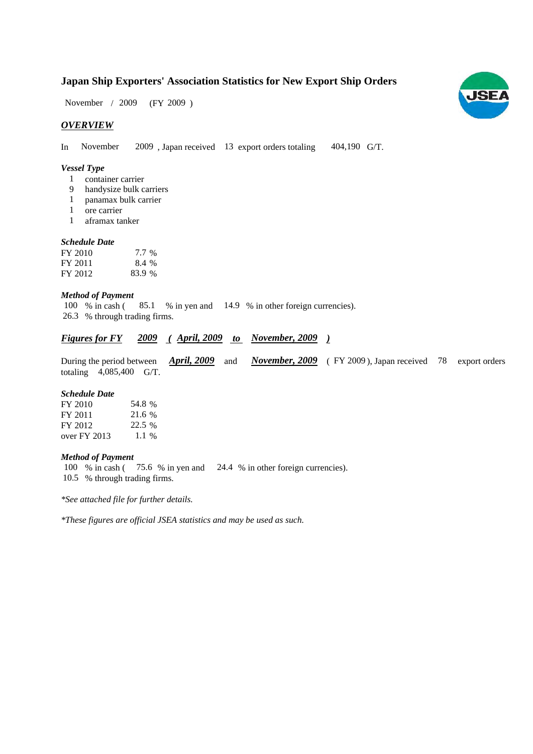## **Japan Ship Exporters' Association Statistics for New Export Ship Orders**

 $(FY 2009)$ November / 2009

## *OVERVIEW*

In November 2009, Japan received 13 export orders totaling 404,190 G/T.

## *Vessel Type*

- container carrier 1
- handysize bulk carriers 9
- panamax bulk carrier 1
- ore carrier 1
- aframax tanker 1

## *Schedule Date*

| FY 2010 | 7.7 %  |
|---------|--------|
| FY 2011 | 8.4 %  |
| FY 2012 | 83.9 % |

## *Method of Payment*

% in cash (85.1 % in yen and 14.9 % in other foreign currencies). % through trading firms. 26.3 100 % in cash (

## *<u>Figures for FY</u>* 2009 (April, 2009 to November, 2009)

During the period between *April, 2009* and *November, 2009* (FY 2009), Japan received 78 export orders totaling  $4,085,400$  G/T.

#### *Schedule Date*

| FY 2010        | 54.8 %  |
|----------------|---------|
| FY 2011        | 21.6 %  |
| FY 2012        | 22.5 %  |
| over $FY$ 2013 | $1.1\%$ |

#### *Method of Payment*

100 % in cash (75.6 % in yen and 24.4 % in other foreign currencies). % through trading firms. 10.5

*\*See attached file for further details.*

*\*These figures are official JSEA statistics and may be used as such.*

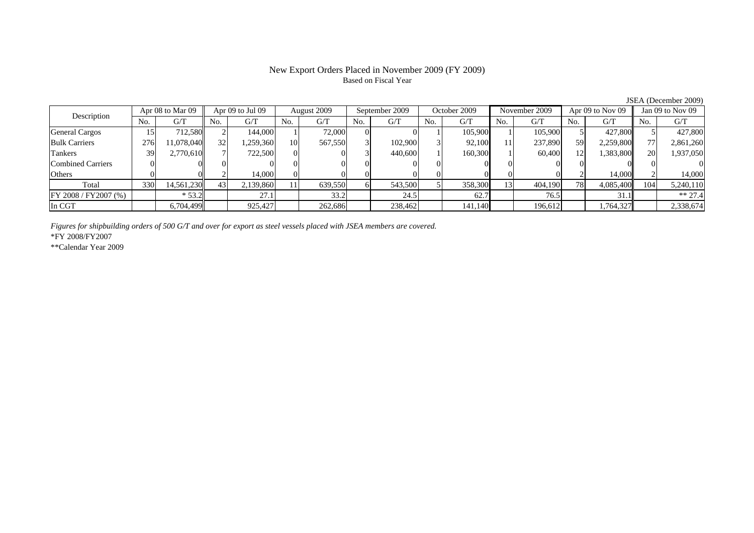## New Export Orders Placed in November 2009 (FY 2009) Based on Fiscal Year

No. G/T No. G/T No. G/T No. G/T No. G/T No. G/T No. G/T No. G/T $G/T$ General Cargos ( 15 712,580 2 144,000 1 72,000 0 0 1 105,900 1 105,900 5 427,800 5 427,800 Bulk Carriers | 276| 11,078,040|| 32| 1,259,360| 10| 567,550| 3| 102,900| 3| 92,100| 11| 237,890| 59| 2,259,800|| 77| 2,861,260 Tankers | 39 2,770,610 7 722,500 0 0 0 3 440,600 1 160,300 1 60,400 12 1,383,800 20 1,937,050 Combined Carriers 0 0 0 0 0 0 0 0 0 0 0 0 0 0 0 0Others | 0 | 0 || 2 | 14,000 || 0 | 0 | 0 | 0 | 0 | 0 | 2 | 14,000 | Total 330 14,561,230 43 2,139,860 11 639,550 6 543,500 5 358,300 13 404,190 78 4,085,400 104 5,240,110 FY 2008 / FY2007 (%) | \* 53.2 | 27.1 | 33.2 | 24.5 | 62.7 | 76.5 | 31.1 | \*\* 27.4 In CGT | | 6,704,499 | | 925,427 | | 262,686 | | 238,462 | | 141,140 | | 196,612 | | 1,764,327 | | 2,338,674 Description Apr 08 to Mar 09 Apr 09 to Jul 09 August 2009 September 2009 October 2009 November 2009 Apr 09 to Nov 09 Jan 09 to Nov 09

*Figures for shipbuilding orders of 500 G/T and over for export as steel vessels placed with JSEA members are covered.*

\*FY 2008/FY2007

\*\*Calendar Year 2009

JSEA (December 2009)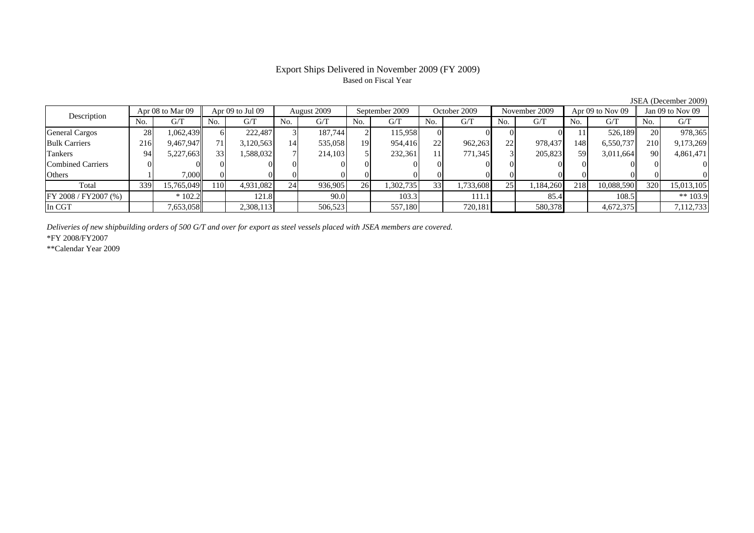## Export Ships Delivered in November 2009 (FY 2009) Based on Fiscal Year

JSEA (December 2009)

| Description              |     | Apr 08 to Mar 09 | Apr 09 to Jul 09 |            | August 2009 |         | September 2009 |           | October 2009    |           | November 2009 |           | Apr $09$ to Nov $09$ |            | Jan $09$ to Nov $09$ |            |
|--------------------------|-----|------------------|------------------|------------|-------------|---------|----------------|-----------|-----------------|-----------|---------------|-----------|----------------------|------------|----------------------|------------|
|                          | No. | G/T              | No.              | G/T        | No.         | G/T     | No.            | G/T       | No.             | G/T       | No.           | G/T       | No.                  | G/T        | No.                  | G/T        |
| <b>General Cargos</b>    | 28  | 1,062,439        | 61               | 222,487    |             | 187,744 |                | 115.958   |                 |           |               |           |                      | 526.189    | <b>20</b>            | 978,365    |
| <b>Bulk Carriers</b>     | 216 | 9,467,947        | 71 <sub>1</sub>  | 3,120,563  | 14          | 535,058 | 19             | 954,416   | 22              | 962,263   | 22            | 978,437   | 148                  | 6,550,737  | <b>210</b>           | 9,173,269  |
| Tankers                  | 94  | 5,227,663        | 33               | 1,588,0321 |             | 214,103 |                | 232,361   | 11 <sup>1</sup> | 771,345   |               | 205,823   | 59                   | 3,011,664  | 90                   | 4,861,471  |
| <b>Combined Carriers</b> |     |                  |                  |            |             |         |                |           |                 |           |               |           |                      |            |                      |            |
| Others                   |     | 7.000            |                  |            |             |         |                |           |                 |           |               |           |                      |            |                      |            |
| Total                    | 339 | 15,765,049       | 1101             | 4,931,082  | 24          | 936,905 | 26             | 1,302,735 | 33              | 1,733,608 | 25            | 1,184,260 | 218                  | 10.088.590 | 320                  | 15,013,105 |
| FY 2008 / FY 2007 (%)    |     | $*102.2$         |                  | 121.8      |             | 90.0    |                | 103.3     |                 | 111.1     |               | 85.4      |                      | 108.5      |                      | ** $103.9$ |
| In CGT                   |     | 7,653,058        |                  | 2,308,113  |             | 506,523 |                | 557,180   |                 | 720,181   |               | 580,378   |                      | 4,672,375  |                      | 7,112,733  |

*Deliveries of new shipbuilding orders of 500 G/T and over for export as steel vessels placed with JSEA members are covered.*

\*FY 2008/FY2007

\*\*Calendar Year 2009